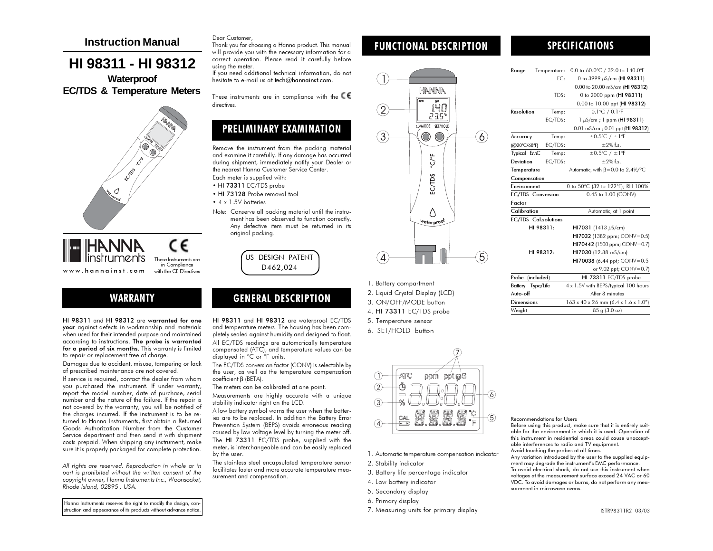## **Instruction Manual**

# **HI 98311 - HI 98312**

**Waterproof EC/TDS & Temperature Meters**



HANNA م م These Instruments arein Compliance www.hannainst.comwith the CE Directives

# WARRANTY

HI 98311 and HI 98312 are warranted for one year against defects in workmanship and materials when used for their intended purpose and maintained according to instructions. The probe is warranted for a period of six months. This warranty is limited to repair or replacement free of charge.

Damages due to accident, misuse, tampering or lack of prescribed maintenance are not covered.

If service is required, contact the dealer from whom you purchased the instrument. If under warranty, report the model number, date of purchase, serial number and the nature of the failure. If the repair is not covered by the warranty, you will be notified of the charges incurred. If the instrument is to be returned to Hanna Instruments, first obtain a Returned Goods Authorization Number from the Customer Service department and then send it with shipment costs prepaid. When shipping any instrument, make sure it is properly packaged for complete protection.

All rights are reserved. Reproduction in whole or in part is prohibited without the written consent of the copyright owner, Hanna Instruments Inc., Woonsocket, Rhode Island, 02895 , USA.

Hanna Instruments reserves the right to modify the design, construction and appearance of its products without advance notice.

#### Dear Customer,

Thank you for choosing a Hanna product. This manual will provide you with the necessary information for a correct operation. Please read it carefully before using the meter.

If you need additional technical information, do not hesitate to e-mail us at tech@hannainst.com.

These instruments are in compliance with the  $\mathsf{CE}$ directives.

# PRELIMINARY EXAMINATION

Remove the instrument from the packing material and examine it carefully. If any damage has occurred during shipment, immediately notify your Dealer or the nearest Hanna Customer Service Center.

Each meter is supplied with:

- HI 73311 EC/TDS probe
- HI 73128 Probe removal tool
- 4 x 1.5V batteries
- Note: Conserve all packing material until the instrument has been observed to function correctly. Any defective item must be returned in its original packing.

US DESIGN PATENTD462,024

# GENERAL DESCRIPTION

HI 98311 and HI 98312 are waterproof EC/TDS and temperature meters. The housing has been com<sup>p</sup>letely sealed against humidity and designed to float. All EC/TDS readings are automatically temperature compensated (ATC), and temperature values can be displayed in °C or °F units.

The EC/TDS conversion factor (CONV) is selectable by the user, as well as the temperature compensation coefficient β (BETA).

The meters can be calibrated at one point.

ies are to be replaced. In addition the Battery Error Prevention System (BEPS) avoids erroneous reading The HI 73311 EC/TDS probe, supplied with the meter, is interchangeable and can be easily replaced

The stainless steel encapsulated temperature sensor facilitates faster and more accurate temperature meaFUNCTIONAL DESCRIPTION



- 1. Battery compartment
- 2. Liquid Crystal Display (LCD)
- 3. ON/OFF/MODE button
- 4. HI 73311 EC/TDS probe
- 5. Temperature sensor
- 6. SET/HOLD button



1. Automatic temperature compensation indicator

- 2. Stability indicator
- 3. Battery life percentage indicator
- 4. Low battery indicator
- 5. Secondary display
- 6. Primary display
- 7. Measuring units for primary display

## SPECIFICATIONS

| Range                    | Temperature:                | 0.0 to 60.0°C / 32.0 to 140.0°F                              |
|--------------------------|-----------------------------|--------------------------------------------------------------|
|                          | FC:                         | 0 to 3999 µS/cm (HI 98311)                                   |
|                          |                             | 0.00 to 20.00 mS/cm (HI 98312)                               |
|                          | TDS:                        | 0 to 2000 ppm (HI 98311)                                     |
|                          |                             | 0.00 to 10.00 ppt (HI 98312)                                 |
| Resolution               | Temp:                       | $0.1^{\circ}$ C / $0.1^{\circ}$ F                            |
|                          | EC/TDS:                     | 1 µS/cm; 1 ppm (HI 98311)                                    |
|                          |                             | 0.01 mS/cm; 0.01 ppt (HI 98312)                              |
| Accuracy                 | Temp:                       | $\pm 0.5$ °C / $\pm 1$ °F                                    |
| (@20°C/68°F)             | EC/TDS:                     | $\pm$ 2% f.s.                                                |
| <b>Typical EMC</b>       | Temp:                       | $\pm 0.5$ °C / $\pm 1$ °F                                    |
| Deviation                | EC/TDS:                     | $\pm$ 2% f.s.                                                |
| Temperature              |                             | Automatic, with $\beta = 0.0$ to 2.4%/°C                     |
| Compensation             |                             |                                                              |
| <b>Environment</b>       |                             | 0 to 50°C (32 to 122°F); RH 100%                             |
| <b>EC/TDS</b> Conversion |                             | 0.45 to 1.00 (CONV)                                          |
| Factor                   |                             |                                                              |
| Calibration              |                             | Automatic, at 1 point                                        |
|                          | <b>EC/TDS</b> Cal.solutions |                                                              |
|                          | HI 98311:                   | HI7031 (1413 $\mu$ S/cm)                                     |
|                          |                             | HI7032 (1382 ppm; CONV=0.5)                                  |
|                          |                             | HI70442 (1500 ppm; CONV=0.7)                                 |
| HI 98312:                |                             | HI7030 (12.88 mS/cm)                                         |
|                          |                             | HI70038 (6.44 ppt; CONV=0.5                                  |
|                          |                             | or 9.02 ppt; CONV=0.7)                                       |
| Probe                    | (included)                  | HI 73311 EC/TDS probe                                        |
| <b>Battery</b> Type/Life |                             | 4 x 1.5V with BEPS/typical 100 hours                         |
| Auto-off                 |                             | After 8 minutes                                              |
| <b>Dimensions</b>        |                             | $163 \times 40 \times 26$ mm $(6.4 \times 1.6 \times 1.0'')$ |
| Weight                   |                             | 85 g (3.0 oz)                                                |



able for the environment in which it is used. Operation of this instrument in residential areas could cause unacceptable interferences to radio and TV equipment. Avoid touching the probes at all times. Any variation introduced by the user to the supplied equipment may degrade the instrument's EMC performance. To avoid electrical shock, do not use this instrument when voltages at the measurement surface exceed 24 VAC or 60 VDC. To avoid damages or burns, do not perform any measurement in microwave ovens.

Measurements are highly accurate with a unique stability indicator right on the LCD.

A low battery symbol warns the user when the battercaused by low voltage level by turning the meter off. by the user.

surement and compensation.